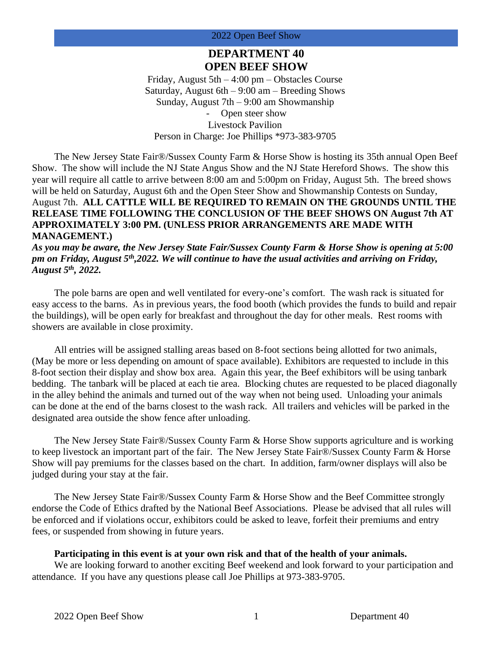## **DEPARTMENT 40 OPEN BEEF SHOW**

Friday, August 5th – 4:00 pm – Obstacles Course Saturday, August  $6th - 9:00$  am  $-$  Breeding Shows Sunday, August 7th – 9:00 am Showmanship Open steer show Livestock Pavilion Person in Charge: Joe Phillips \*973-383-9705

The New Jersey State Fair®/Sussex County Farm & Horse Show is hosting its 35th annual Open Beef Show. The show will include the NJ State Angus Show and the NJ State Hereford Shows. The show this year will require all cattle to arrive between 8:00 am and 5:00pm on Friday, August 5th. The breed shows will be held on Saturday, August 6th and the Open Steer Show and Showmanship Contests on Sunday, August 7th. **ALL CATTLE WILL BE REQUIRED TO REMAIN ON THE GROUNDS UNTIL THE RELEASE TIME FOLLOWING THE CONCLUSION OF THE BEEF SHOWS ON August 7th AT APPROXIMATELY 3:00 PM. (UNLESS PRIOR ARRANGEMENTS ARE MADE WITH MANAGEMENT.)**

*As you may be aware, the New Jersey State Fair/Sussex County Farm & Horse Show is opening at 5:00 pm on Friday, August 5th,2022. We will continue to have the usual activities and arriving on Friday, August 5th, 2022.*

The pole barns are open and well ventilated for every-one's comfort. The wash rack is situated for easy access to the barns. As in previous years, the food booth (which provides the funds to build and repair the buildings), will be open early for breakfast and throughout the day for other meals. Rest rooms with showers are available in close proximity.

All entries will be assigned stalling areas based on 8-foot sections being allotted for two animals, (May be more or less depending on amount of space available). Exhibitors are requested to include in this 8-foot section their display and show box area. Again this year, the Beef exhibitors will be using tanbark bedding. The tanbark will be placed at each tie area. Blocking chutes are requested to be placed diagonally in the alley behind the animals and turned out of the way when not being used. Unloading your animals can be done at the end of the barns closest to the wash rack. All trailers and vehicles will be parked in the designated area outside the show fence after unloading.

The New Jersey State Fair®/Sussex County Farm & Horse Show supports agriculture and is working to keep livestock an important part of the fair. The New Jersey State Fair®/Sussex County Farm & Horse Show will pay premiums for the classes based on the chart. In addition, farm/owner displays will also be judged during your stay at the fair.

The New Jersey State Fair®/Sussex County Farm & Horse Show and the Beef Committee strongly endorse the Code of Ethics drafted by the National Beef Associations. Please be advised that all rules will be enforced and if violations occur, exhibitors could be asked to leave, forfeit their premiums and entry fees, or suspended from showing in future years.

#### **Participating in this event is at your own risk and that of the health of your animals.**

We are looking forward to another exciting Beef weekend and look forward to your participation and attendance. If you have any questions please call Joe Phillips at 973-383-9705.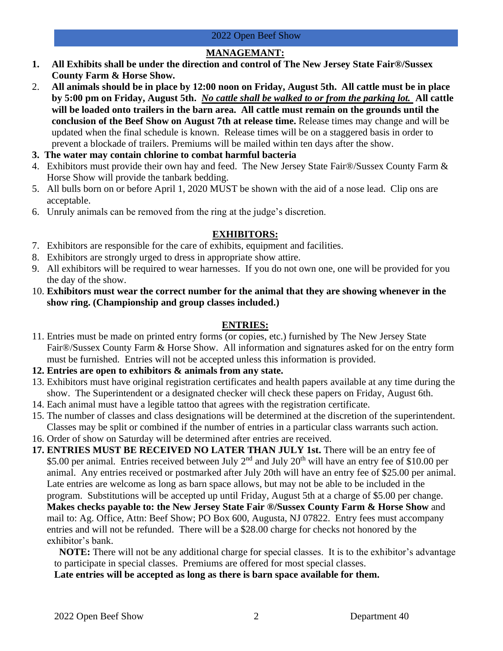## **MANAGEMANT:**

- **1. All Exhibits shall be under the direction and control of The New Jersey State Fair®/Sussex County Farm & Horse Show.**
- 2. **All animals should be in place by 12:00 noon on Friday, August 5th. All cattle must be in place by 5:00 pm on Friday, August 5th.** *No cattle shall be walked to or from the parking lot.* **All cattle will be loaded onto trailers in the barn area. All cattle must remain on the grounds until the conclusion of the Beef Show on August 7th at release time.** Release times may change and will be updated when the final schedule is known. Release times will be on a staggered basis in order to prevent a blockade of trailers. Premiums will be mailed within ten days after the show.
- **3. The water may contain chlorine to combat harmful bacteria**
- 4. Exhibitors must provide their own hay and feed. The New Jersey State Fair®/Sussex County Farm & Horse Show will provide the tanbark bedding.
- 5. All bulls born on or before April 1, 2020 MUST be shown with the aid of a nose lead. Clip ons are acceptable.
- 6. Unruly animals can be removed from the ring at the judge's discretion.

## **EXHIBITORS:**

- 7. Exhibitors are responsible for the care of exhibits, equipment and facilities.
- 8. Exhibitors are strongly urged to dress in appropriate show attire.
- 9. All exhibitors will be required to wear harnesses. If you do not own one, one will be provided for you the day of the show.
- 10. **Exhibitors must wear the correct number for the animal that they are showing whenever in the show ring. (Championship and group classes included.)**

## **ENTRIES:**

- 11. Entries must be made on printed entry forms (or copies, etc.) furnished by The New Jersey State Fair®/Sussex County Farm & Horse Show. All information and signatures asked for on the entry form must be furnished. Entries will not be accepted unless this information is provided.
- **12. Entries are open to exhibitors & animals from any state.**
- 13. Exhibitors must have original registration certificates and health papers available at any time during the show. The Superintendent or a designated checker will check these papers on Friday, August 6th.
- 14. Each animal must have a legible tattoo that agrees with the registration certificate.
- 15. The number of classes and class designations will be determined at the discretion of the superintendent. Classes may be split or combined if the number of entries in a particular class warrants such action.
- 16. Order of show on Saturday will be determined after entries are received.

**17. ENTRIES MUST BE RECEIVED NO LATER THAN JULY 1st.** There will be an entry fee of \$5.00 per animal. Entries received between July 2<sup>nd</sup> and July 20<sup>th</sup> will have an entry fee of \$10.00 per animal. Any entries received or postmarked after July 20th will have an entry fee of \$25.00 per animal. Late entries are welcome as long as barn space allows, but may not be able to be included in the program. Substitutions will be accepted up until Friday, August 5th at a charge of \$5.00 per change.

**Makes checks payable to: the New Jersey State Fair ®/Sussex County Farm & Horse Show** and mail to: Ag. Office, Attn: Beef Show; PO Box 600, Augusta, NJ 07822. Entry fees must accompany entries and will not be refunded. There will be a \$28.00 charge for checks not honored by the exhibitor's bank.

**NOTE:** There will not be any additional charge for special classes. It is to the exhibitor's advantage to participate in special classes. Premiums are offered for most special classes.

**Late entries will be accepted as long as there is barn space available for them.**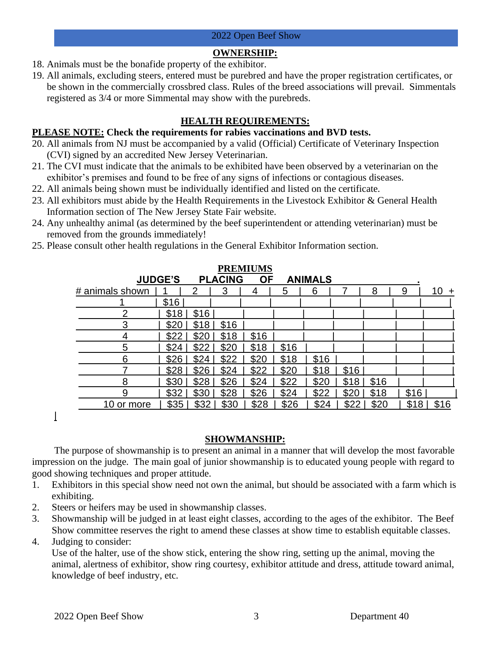## **OWNERSHIP:**

- 18. Animals must be the bonafide property of the exhibitor.
- 19. All animals, excluding steers, entered must be purebred and have the proper registration certificates, or be shown in the commercially crossbred class. Rules of the breed associations will prevail. Simmentals registered as 3/4 or more Simmental may show with the purebreds.

## **HEALTH REQUIREMENTS:**

#### **PLEASE NOTE: Check the requirements for rabies vaccinations and BVD tests.**

- 20. All animals from NJ must be accompanied by a valid (Official) Certificate of Veterinary Inspection (CVI) signed by an accredited New Jersey Veterinarian.
- 21. The CVI must indicate that the animals to be exhibited have been observed by a veterinarian on the exhibitor's premises and found to be free of any signs of infections or contagious diseases.
- 22. All animals being shown must be individually identified and listed on the certificate.
- 23. All exhibitors must abide by the Health Requirements in the Livestock Exhibitor & General Health Information section of The New Jersey State Fair website.
- 24. Any unhealthy animal (as determined by the beef superintendent or attending veterinarian) must be removed from the grounds immediately!
- 25. Please consult other health regulations in the General Exhibitor Information section.

| <b>PREMIUMS</b> |      |               |                |           |      |                |       |      |      |              |
|-----------------|------|---------------|----------------|-----------|------|----------------|-------|------|------|--------------|
| <b>JUDGE'S</b>  |      |               | <b>PLACING</b> | <b>OF</b> |      | <b>ANIMALS</b> |       |      |      |              |
| # animals shown |      | $\mathcal{D}$ | 3              | 4         | 5    | 6              |       | 8    | 9    | 10<br>$\div$ |
|                 | \$16 |               |                |           |      |                |       |      |      |              |
| ⌒               | \$18 | \$16          |                |           |      |                |       |      |      |              |
| 3               | \$20 | \$18          | \$16           |           |      |                |       |      |      |              |
| 4               | \$22 | \$20          | \$18           | \$16      |      |                |       |      |      |              |
| 5               | \$24 | \$22          | \$20           | \$18      | \$16 |                |       |      |      |              |
| 6               | \$26 | \$24          | \$22           | \$20      | \$18 | \$16           |       |      |      |              |
|                 | \$28 | \$26          | \$24           | \$22      | \$20 | \$18           | \$16  |      |      |              |
| 8               | \$30 | \$28          | \$26           | \$24      | \$22 | \$20           | $$18$ | \$16 |      |              |
| 9               | \$32 | \$30          | \$28           | \$26      | \$24 | \$22           | \$20  | \$18 | \$16 |              |
| 10 or more      | \$35 | \$32          | \$30           | \$28      | \$26 | \$24           | \$22  | \$20 | \$18 | \$16         |

 $\overline{1}$ 

#### **SHOWMANSHIP:**

The purpose of showmanship is to present an animal in a manner that will develop the most favorable impression on the judge. The main goal of junior showmanship is to educated young people with regard to good showing techniques and proper attitude.

- 1. Exhibitors in this special show need not own the animal, but should be associated with a farm which is exhibiting.
- 2. Steers or heifers may be used in showmanship classes.
- 3. Showmanship will be judged in at least eight classes, according to the ages of the exhibitor. The Beef Show committee reserves the right to amend these classes at show time to establish equitable classes.
- 4. Judging to consider:

Use of the halter, use of the show stick, entering the show ring, setting up the animal, moving the animal, alertness of exhibitor, show ring courtesy, exhibitor attitude and dress, attitude toward animal, knowledge of beef industry, etc.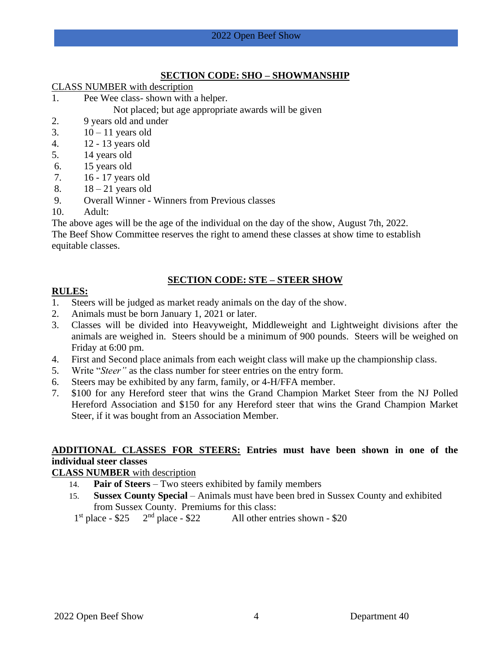#### **SECTION CODE: SHO – SHOWMANSHIP**

CLASS NUMBER with description

- 1. Pee Wee class- shown with a helper.
	- Not placed; but age appropriate awards will be given
- 2. 9 years old and under
- 3.  $10 11$  years old
- 4. 12 13 years old
- 5. 14 years old
- 6. 15 years old
- 7. 16 17 years old
- 8.  $18 21$  years old
- 9. Overall Winner Winners from Previous classes
- 10. Adult:

The above ages will be the age of the individual on the day of the show, August 7th, 2022.

The Beef Show Committee reserves the right to amend these classes at show time to establish equitable classes.

## **SECTION CODE: STE – STEER SHOW**

## **RULES:**

- 1. Steers will be judged as market ready animals on the day of the show.
- 2. Animals must be born January 1, 2021 or later.
- 3. Classes will be divided into Heavyweight, Middleweight and Lightweight divisions after the animals are weighed in. Steers should be a minimum of 900 pounds. Steers will be weighed on Friday at 6:00 pm.
- 4. First and Second place animals from each weight class will make up the championship class.
- 5. Write "*Steer"* as the class number for steer entries on the entry form.
- 6. Steers may be exhibited by any farm, family, or 4-H/FFA member.
- 7. \$100 for any Hereford steer that wins the Grand Champion Market Steer from the NJ Polled Hereford Association and \$150 for any Hereford steer that wins the Grand Champion Market Steer, if it was bought from an Association Member.

## **ADDITIONAL CLASSES FOR STEERS: Entries must have been shown in one of the individual steer classes**

## **CLASS NUMBER** with description

- 14. **Pair of Steers** Two steers exhibited by family members
- 15. **Sussex County Special** Animals must have been bred in Sussex County and exhibited from Sussex County. Premiums for this class:

 $1<sup>st</sup>$  place - \$25 2  $2<sup>nd</sup>$  place - \$22 All other entries shown - \$20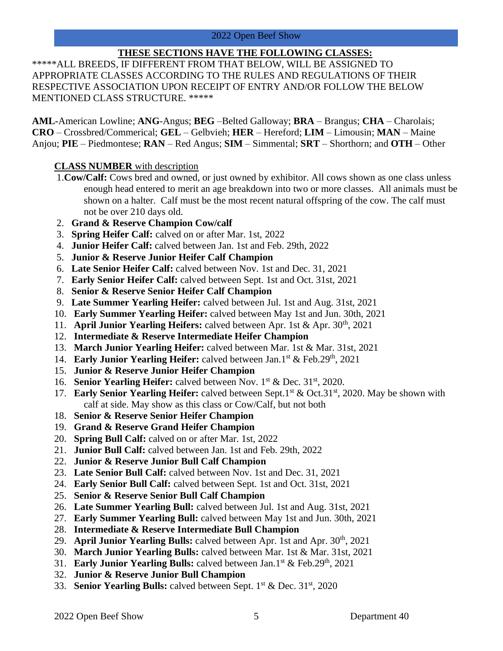#### **THESE SECTIONS HAVE THE FOLLOWING CLASSES:**

\*\*\*\*\*ALL BREEDS, IF DIFFERENT FROM THAT BELOW, WILL BE ASSIGNED TO APPROPRIATE CLASSES ACCORDING TO THE RULES AND REGULATIONS OF THEIR RESPECTIVE ASSOCIATION UPON RECEIPT OF ENTRY AND/OR FOLLOW THE BELOW MENTIONED CLASS STRUCTURE. \*\*\*\*\*

**AML-**American Lowline; **ANG**-Angus; **BEG** –Belted Galloway; **BRA** – Brangus; **CHA** – Charolais; **CRO** – Crossbred/Commerical; **GEL** – Gelbvieh; **HER** – Hereford; **LIM** – Limousin; **MAN** – Maine Anjou; **PIE** – Piedmontese; **RAN** – Red Angus; **SIM** – Simmental; **SRT** – Shorthorn; and **OTH** – Other

#### **CLASS NUMBER** with description

- 1.**Cow/Calf:** Cows bred and owned, or just owned by exhibitor. All cows shown as one class unless enough head entered to merit an age breakdown into two or more classes. All animals must be shown on a halter. Calf must be the most recent natural offspring of the cow. The calf must not be over 210 days old.
- 2. **Grand & Reserve Champion Cow/calf**
- 3. **Spring Heifer Calf:** calved on or after Mar. 1st, 2022
- 4. **Junior Heifer Calf:** calved between Jan. 1st and Feb. 29th, 2022
- 5. **Junior & Reserve Junior Heifer Calf Champion**
- 6. **Late Senior Heifer Calf:** calved between Nov. 1st and Dec. 31, 2021
- 7. **Early Senior Heifer Calf:** calved between Sept. 1st and Oct. 31st, 2021
- 8. **Senior & Reserve Senior Heifer Calf Champion**
- 9. **Late Summer Yearling Heifer:** calved between Jul. 1st and Aug. 31st, 2021
- 10. **Early Summer Yearling Heifer:** calved between May 1st and Jun. 30th, 2021
- 11. **April Junior Yearling Heifers:** calved between Apr. 1st & Apr. 30<sup>th</sup>, 2021
- 12. **Intermediate & Reserve Intermediate Heifer Champion**
- 13. **March Junior Yearling Heifer:** calved between Mar. 1st & Mar. 31st, 2021
- 14. Early Junior Yearling Heifer: calved between Jan.1<sup>st</sup> & Feb.29<sup>th</sup>, 2021
- 15. **Junior & Reserve Junior Heifer Champion**
- 16. **Senior Yearling Heifer:** calved between Nov. 1<sup>st</sup> & Dec. 31<sup>st</sup>, 2020.
- 17. **Early Senior Yearling Heifer:** calved between Sept.1<sup>st</sup> & Oct.31<sup>st</sup>, 2020. May be shown with calf at side. May show as this class or Cow/Calf, but not both
- 18. **Senior & Reserve Senior Heifer Champion**
- 19. **Grand & Reserve Grand Heifer Champion**
- 20. **Spring Bull Calf:** calved on or after Mar. 1st, 2022
- 21. **Junior Bull Calf:** calved between Jan. 1st and Feb. 29th, 2022
- 22. **Junior & Reserve Junior Bull Calf Champion**
- 23. **Late Senior Bull Calf:** calved between Nov. 1st and Dec. 31, 2021
- 24. **Early Senior Bull Calf:** calved between Sept. 1st and Oct. 31st, 2021
- 25. **Senior & Reserve Senior Bull Calf Champion**
- 26. **Late Summer Yearling Bull:** calved between Jul. 1st and Aug. 31st, 2021
- 27. **Early Summer Yearling Bull:** calved between May 1st and Jun. 30th, 2021
- 28. **Intermediate & Reserve Intermediate Bull Champion**
- 29. **April Junior Yearling Bulls:** calved between Apr. 1st and Apr. 30<sup>th</sup>, 2021
- 30. **March Junior Yearling Bulls:** calved between Mar. 1st & Mar. 31st, 2021
- 31. Early Junior Yearling Bulls: calved between Jan.1<sup>st</sup> & Feb.29<sup>th</sup>, 2021
- 32. **Junior & Reserve Junior Bull Champion**
- 33. **Senior Yearling Bulls:** calved between Sept. 1<sup>st</sup> & Dec. 31<sup>st</sup>, 2020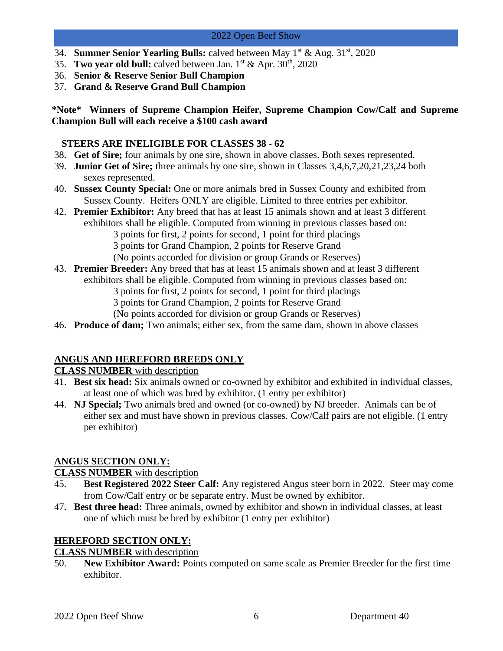- 34. **Summer Senior Yearling Bulls:** calved between May 1<sup>st</sup> & Aug. 31<sup>st</sup>, 2020
- 35. **Two year old bull:** calved between Jan.  $1^{st}$  & Apr.  $30^{th}$ ,  $2020$
- 36. **Senior & Reserve Senior Bull Champion**
- 37. **Grand & Reserve Grand Bull Champion**

**\*Note\* Winners of Supreme Champion Heifer, Supreme Champion Cow/Calf and Supreme Champion Bull will each receive a \$100 cash award**

#### **STEERS ARE INELIGIBLE FOR CLASSES 38 - 62**

- 38. **Get of Sire;** four animals by one sire, shown in above classes. Both sexes represented.
- 39. **Junior Get of Sire;** three animals by one sire, shown in Classes 3,4,6,7,20,21,23,24 both sexes represented.
- 40. **Sussex County Special:** One or more animals bred in Sussex County and exhibited from Sussex County. Heifers ONLY are eligible. Limited to three entries per exhibitor.
- 42. **Premier Exhibitor:** Any breed that has at least 15 animals shown and at least 3 different exhibitors shall be eligible. Computed from winning in previous classes based on: 3 points for first, 2 points for second, 1 point for third placings 3 points for Grand Champion, 2 points for Reserve Grand (No points accorded for division or group Grands or Reserves)
- 43. **Premier Breeder:** Any breed that has at least 15 animals shown and at least 3 different exhibitors shall be eligible. Computed from winning in previous classes based on: 3 points for first, 2 points for second, 1 point for third placings 3 points for Grand Champion, 2 points for Reserve Grand
	- (No points accorded for division or group Grands or Reserves)
- 46. **Produce of dam;** Two animals; either sex, from the same dam, shown in above classes

## **ANGUS AND HEREFORD BREEDS ONLY**

## **CLASS NUMBER** with description

- 41. **Best six head:** Six animals owned or co-owned by exhibitor and exhibited in individual classes, at least one of which was bred by exhibitor. (1 entry per exhibitor)
- 44. **NJ Special;** Two animals bred and owned (or co-owned) by NJ breeder. Animals can be of either sex and must have shown in previous classes. Cow/Calf pairs are not eligible. (1 entry per exhibitor)

## **ANGUS SECTION ONLY:**

## **CLASS NUMBER** with description

- 45. **Best Registered 2022 Steer Calf:** Any registered Angus steer born in 2022. Steer may come from Cow/Calf entry or be separate entry. Must be owned by exhibitor.
- 47. **Best three head:** Three animals, owned by exhibitor and shown in individual classes, at least one of which must be bred by exhibitor (1 entry per exhibitor)

## **HEREFORD SECTION ONLY:**

## **CLASS NUMBER** with description

50. **New Exhibitor Award:** Points computed on same scale as Premier Breeder for the first time exhibitor.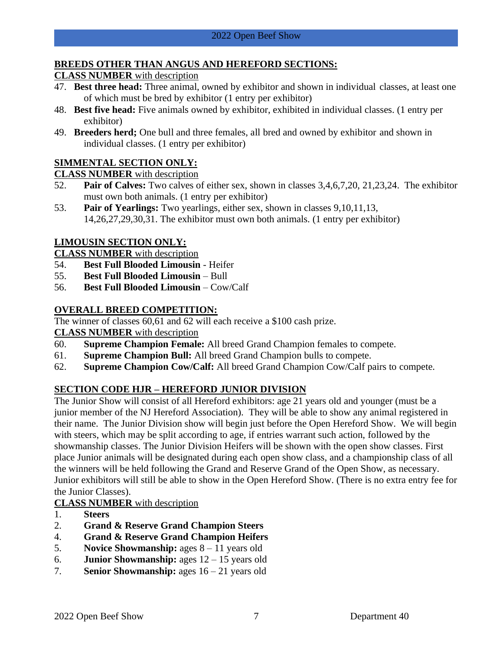## **BREEDS OTHER THAN ANGUS AND HEREFORD SECTIONS:**

## **CLASS NUMBER** with description

- 47. **Best three head:** Three animal, owned by exhibitor and shown in individual classes, at least one of which must be bred by exhibitor (1 entry per exhibitor)
- 48. **Best five head:** Five animals owned by exhibitor, exhibited in individual classes. (1 entry per exhibitor)
- 49. **Breeders herd;** One bull and three females, all bred and owned by exhibitor and shown in individual classes. (1 entry per exhibitor)

## **SIMMENTAL SECTION ONLY:**

## **CLASS NUMBER** with description

- 52. **Pair of Calves:** Two calves of either sex, shown in classes 3,4,6,7,20, 21,23,24. The exhibitor must own both animals. (1 entry per exhibitor)
- 53. **Pair of Yearlings:** Two yearlings, either sex, shown in classes 9,10,11,13, 14,26,27,29,30,31. The exhibitor must own both animals. (1 entry per exhibitor)

## **LIMOUSIN SECTION ONLY:**

**CLASS NUMBER** with description

- 54. **Best Full Blooded Limousin**  Heifer
- 55. **Best Full Blooded Limousin**  Bull
- 56. **Best Full Blooded Limousin**  Cow/Calf

## **OVERALL BREED COMPETITION:**

The winner of classes 60,61 and 62 will each receive a \$100 cash prize.

## **CLASS NUMBER** with description

- 60. **Supreme Champion Female:** All breed Grand Champion females to compete.
- 61. **Supreme Champion Bull:** All breed Grand Champion bulls to compete.
- 62. **Supreme Champion Cow/Calf:** All breed Grand Champion Cow/Calf pairs to compete.

## **SECTION CODE HJR – HEREFORD JUNIOR DIVISION**

The Junior Show will consist of all Hereford exhibitors: age 21 years old and younger (must be a junior member of the NJ Hereford Association). They will be able to show any animal registered in their name. The Junior Division show will begin just before the Open Hereford Show. We will begin with steers, which may be split according to age, if entries warrant such action, followed by the showmanship classes. The Junior Division Heifers will be shown with the open show classes. First place Junior animals will be designated during each open show class, and a championship class of all the winners will be held following the Grand and Reserve Grand of the Open Show, as necessary. Junior exhibitors will still be able to show in the Open Hereford Show. (There is no extra entry fee for the Junior Classes).

## **CLASS NUMBER** with description

- 1. **Steers**
- 2. **Grand & Reserve Grand Champion Steers**
- 4. **Grand & Reserve Grand Champion Heifers**
- 5. **Novice Showmanship:** ages 8 11 years old
- 6. **Junior Showmanship:** ages 12 15 years old
- 7. **Senior Showmanship:** ages 16 21 years old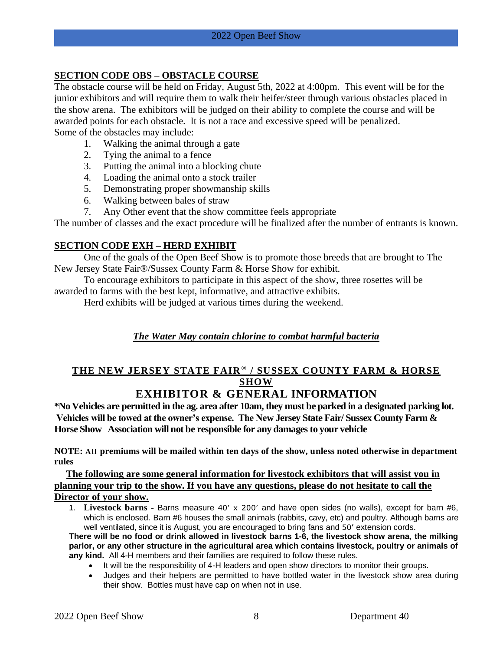## **SECTION CODE OBS – OBSTACLE COURSE**

The obstacle course will be held on Friday, August 5th, 2022 at 4:00pm. This event will be for the junior exhibitors and will require them to walk their heifer/steer through various obstacles placed in the show arena. The exhibitors will be judged on their ability to complete the course and will be awarded points for each obstacle. It is not a race and excessive speed will be penalized. Some of the obstacles may include:

- 1. Walking the animal through a gate
- 2. Tying the animal to a fence
- 3. Putting the animal into a blocking chute
- 4. Loading the animal onto a stock trailer
- 5. Demonstrating proper showmanship skills
- 6. Walking between bales of straw
- 7. Any Other event that the show committee feels appropriate

The number of classes and the exact procedure will be finalized after the number of entrants is known.

#### **SECTION CODE EXH – HERD EXHIBIT**

One of the goals of the Open Beef Show is to promote those breeds that are brought to The New Jersey State Fair®/Sussex County Farm & Horse Show for exhibit.

To encourage exhibitors to participate in this aspect of the show, three rosettes will be awarded to farms with the best kept, informative, and attractive exhibits.

Herd exhibits will be judged at various times during the weekend.

#### *The Water May contain chlorine to combat harmful bacteria*

# **THE NEW JERSEY STATE FAIR ® / SUSSEX COUNTY FARM & HORSE SHOW**

# **EXHIBITOR & GENERAL INFORMATION**

**\*No Vehicles are permitted in the ag. area after 10am, they must be parked in a designated parking lot. Vehicles will be towed at the owner's expense. The New Jersey State Fair/ Sussex County Farm & Horse Show Association will not be responsible for any damages to your vehicle** 

**NOTE: All premiums will be mailed within ten days of the show, unless noted otherwise in department rules**

**The following are some general information for livestock exhibitors that will assist you in planning your trip to the show. If you have any questions, please do not hesitate to call the Director of your show.**

1. **Livestock barns -** Barns measure 40' x 200' and have open sides (no walls), except for barn #6, which is enclosed. Barn #6 houses the small animals (rabbits, cavy, etc) and poultry. Although barns are well ventilated, since it is August, you are encouraged to bring fans and 50' extension cords.

**There will be no food or drink allowed in livestock barns 1-6, the livestock show arena, the milking parlor, or any other structure in the agricultural area which contains livestock, poultry or animals of any kind.** All 4-H members and their families are required to follow these rules.

- It will be the responsibility of 4-H leaders and open show directors to monitor their groups.
- Judges and their helpers are permitted to have bottled water in the livestock show area during their show. Bottles must have cap on when not in use.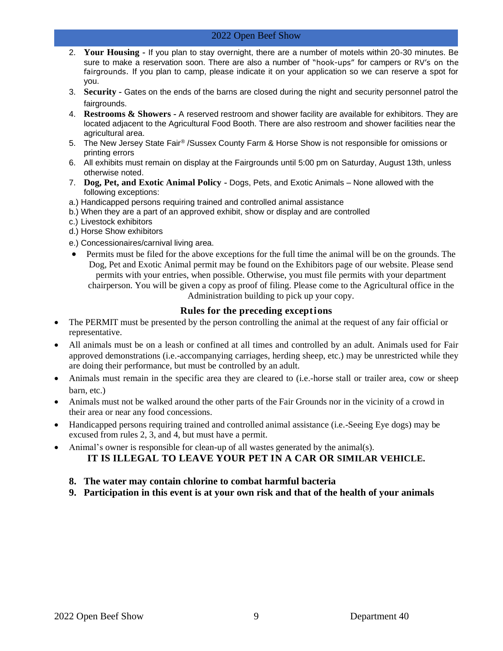- 2. **Your Housing -** If you plan to stay overnight, there are a number of motels within 20-30 minutes. Be sure to make a reservation soon. There are also a number of "hook-ups" for campers or RV's on the fairgrounds. If you plan to camp, please indicate it on your application so we can reserve a spot for you.
- 3. **Security -** Gates on the ends of the barns are closed during the night and security personnel patrol the fairgrounds.
- 4. **Restrooms & Showers -** A reserved restroom and shower facility are available for exhibitors. They are located adjacent to the Agricultural Food Booth. There are also restroom and shower facilities near the agricultural area.
- 5. The New Jersey State Fair® /Sussex County Farm & Horse Show is not responsible for omissions or printing errors
- 6. All exhibits must remain on display at the Fairgrounds until 5:00 pm on Saturday, August 13th, unless otherwise noted.
- 7. **Dog, Pet, and Exotic Animal Policy -** Dogs, Pets, and Exotic Animals None allowed with the following exceptions:
- a.) Handicapped persons requiring trained and controlled animal assistance
- b.) When they are a part of an approved exhibit, show or display and are controlled
- c.) Livestock exhibitors
- d.) Horse Show exhibitors
- e.) Concessionaires/carnival living area.
- Permits must be filed for the above exceptions for the full time the animal will be on the grounds. The Dog, Pet and Exotic Animal permit may be found on the Exhibitors page of our website. Please send permits with your entries, when possible. Otherwise, you must file permits with your department chairperson. You will be given a copy as proof of filing. Please come to the Agricultural office in the Administration building to pick up your copy.

#### **Rules for the preceding exceptions**

- The PERMIT must be presented by the person controlling the animal at the request of any fair official or representative.
- All animals must be on a leash or confined at all times and controlled by an adult. Animals used for Fair approved demonstrations (i.e.-accompanying carriages, herding sheep, etc.) may be unrestricted while they are doing their performance, but must be controlled by an adult.
- Animals must remain in the specific area they are cleared to (i.e.-horse stall or trailer area, cow or sheep barn, etc.)
- Animals must not be walked around the other parts of the Fair Grounds nor in the vicinity of a crowd in their area or near any food concessions.
- Handicapped persons requiring trained and controlled animal assistance (i.e.-Seeing Eye dogs) may be excused from rules 2, 3, and 4, but must have a permit.
- Animal's owner is responsible for clean-up of all wastes generated by the animal(s). **IT IS ILLEGAL TO LEAVE YOUR PET IN A CAR OR SIMILAR VEHICLE.**

#### **8. The water may contain chlorine to combat harmful bacteria**

**9. Participation in this event is at your own risk and that of the health of your animals**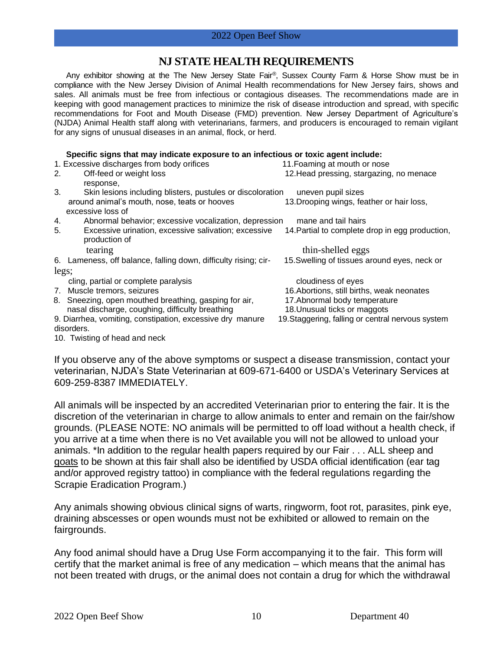## **NJ STATE HEALTH REQUIREMENTS**

Any exhibitor showing at the The New Jersey State Fair ®, Sussex County Farm & Horse Show must be in compliance with the New Jersey Division of Animal Health recommendations for New Jersey fairs, shows and sales. All animals must be free from infectious or contagious diseases. The recommendations made are in keeping with good management practices to minimize the risk of disease introduction and spread, with specific recommendations for Foot and Mouth Disease (FMD) prevention. New Jersey Department of Agriculture's (NJDA) Animal Health staff along with veterinarians, farmers, and producers is encouraged to remain vigilant for any signs of unusual diseases in an animal, flock, or herd.

#### **Specific signs that may indicate exposure to an infectious or toxic agent include:**

| 1. Excessive discharges from body orifices                       | 11. Foaming at mouth or nose                      |  |  |  |  |  |
|------------------------------------------------------------------|---------------------------------------------------|--|--|--|--|--|
| Off-feed or weight loss<br>2.                                    | 12. Head pressing, stargazing, no menace          |  |  |  |  |  |
| response,                                                        |                                                   |  |  |  |  |  |
| 3.<br>Skin lesions including blisters, pustules or discoloration | uneven pupil sizes                                |  |  |  |  |  |
| around animal's mouth, nose, teats or hooves                     | 13. Drooping wings, feather or hair loss,         |  |  |  |  |  |
| excessive loss of                                                |                                                   |  |  |  |  |  |
| Abnormal behavior; excessive vocalization, depression<br>4.      | mane and tail hairs                               |  |  |  |  |  |
| 5.<br>Excessive urination, excessive salivation; excessive       | 14. Partial to complete drop in egg production,   |  |  |  |  |  |
| production of                                                    |                                                   |  |  |  |  |  |
| tearing                                                          | thin-shelled eggs                                 |  |  |  |  |  |
| 6. Lameness, off balance, falling down, difficulty rising; cir-  | 15. Swelling of tissues around eyes, neck or      |  |  |  |  |  |
| legs;                                                            |                                                   |  |  |  |  |  |
|                                                                  |                                                   |  |  |  |  |  |
| cling, partial or complete paralysis                             | cloudiness of eyes                                |  |  |  |  |  |
| 7. Muscle tremors, seizures                                      | 16. Abortions, still births, weak neonates        |  |  |  |  |  |
| 8. Sneezing, open mouthed breathing, gasping for air,            | 17. Abnormal body temperature                     |  |  |  |  |  |
| nasal discharge, coughing, difficulty breathing                  | 18. Unusual ticks or maggots                      |  |  |  |  |  |
| 9. Diarrhea, vomiting, constipation, excessive dry manure        | 19. Staggering, falling or central nervous system |  |  |  |  |  |
| disorders.                                                       |                                                   |  |  |  |  |  |
| 10. Twisting of head and neck                                    |                                                   |  |  |  |  |  |

If you observe any of the above symptoms or suspect a disease transmission, contact your veterinarian, NJDA's State Veterinarian at 609-671-6400 or USDA's Veterinary Services at 609-259-8387 IMMEDIATELY.

All animals will be inspected by an accredited Veterinarian prior to entering the fair. It is the discretion of the veterinarian in charge to allow animals to enter and remain on the fair/show grounds. (PLEASE NOTE: NO animals will be permitted to off load without a health check, if you arrive at a time when there is no Vet available you will not be allowed to unload your animals. \*In addition to the regular health papers required by our Fair . . . ALL sheep and goats to be shown at this fair shall also be identified by USDA official identification (ear tag and/or approved registry tattoo) in compliance with the federal regulations regarding the Scrapie Eradication Program.)

Any animals showing obvious clinical signs of warts, ringworm, foot rot, parasites, pink eye, draining abscesses or open wounds must not be exhibited or allowed to remain on the fairgrounds.

Any food animal should have a Drug Use Form accompanying it to the fair. This form will certify that the market animal is free of any medication – which means that the animal has not been treated with drugs, or the animal does not contain a drug for which the withdrawal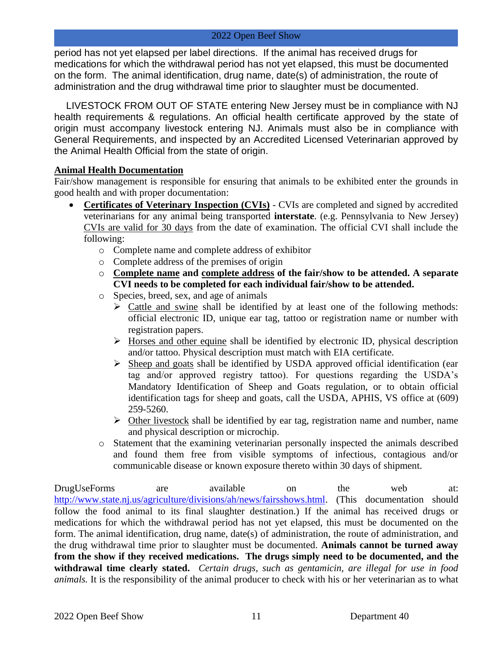period has not yet elapsed per label directions. If the animal has received drugs for medications for which the withdrawal period has not yet elapsed, this must be documented on the form. The animal identification, drug name, date(s) of administration, the route of administration and the drug withdrawal time prior to slaughter must be documented.

LIVESTOCK FROM OUT OF STATE entering New Jersey must be in compliance with NJ health requirements & regulations. An official health certificate approved by the state of origin must accompany livestock entering NJ. Animals must also be in compliance with General Requirements, and inspected by an Accredited Licensed Veterinarian approved by the Animal Health Official from the state of origin.

#### **Animal Health Documentation**

Fair/show management is responsible for ensuring that animals to be exhibited enter the grounds in good health and with proper documentation:

- **Certificates of Veterinary Inspection (CVIs)** CVIs are completed and signed by accredited veterinarians for any animal being transported **interstate**. (e.g. Pennsylvania to New Jersey) CVIs are valid for 30 days from the date of examination. The official CVI shall include the following:
	- o Complete name and complete address of exhibitor
	- o Complete address of the premises of origin
	- o **Complete name and complete address of the fair/show to be attended. A separate CVI needs to be completed for each individual fair/show to be attended.**
	- o Species, breed, sex, and age of animals
		- $\triangleright$  Cattle and swine shall be identified by at least one of the following methods: official electronic ID, unique ear tag, tattoo or registration name or number with registration papers.
		- $\triangleright$  Horses and other equine shall be identified by electronic ID, physical description and/or tattoo. Physical description must match with EIA certificate.
		- ➢ Sheep and goats shall be identified by USDA approved official identification (ear tag and/or approved registry tattoo). For questions regarding the USDA's Mandatory Identification of Sheep and Goats regulation, or to obtain official identification tags for sheep and goats, call the USDA, APHIS, VS office at (609) 259-5260.
		- $\triangleright$  Other livestock shall be identified by ear tag, registration name and number, name and physical description or microchip.
	- o Statement that the examining veterinarian personally inspected the animals described and found them free from visible symptoms of infectious, contagious and/or communicable disease or known exposure thereto within 30 days of shipment.

DrugUseForms are available on the web at: [http://www.state.nj.us/agriculture/divisions/ah/news/fairsshows.html.](http://www.state.nj.us/agriculture/divisions/ah/news/fairsshows.html) (This documentation should follow the food animal to its final slaughter destination.) If the animal has received drugs or medications for which the withdrawal period has not yet elapsed, this must be documented on the form. The animal identification, drug name, date(s) of administration, the route of administration, and the drug withdrawal time prior to slaughter must be documented. **Animals cannot be turned away from the show if they received medications. The drugs simply need to be documented, and the withdrawal time clearly stated.** *Certain drugs, such as gentamicin, are illegal for use in food animals.* It is the responsibility of the animal producer to check with his or her veterinarian as to what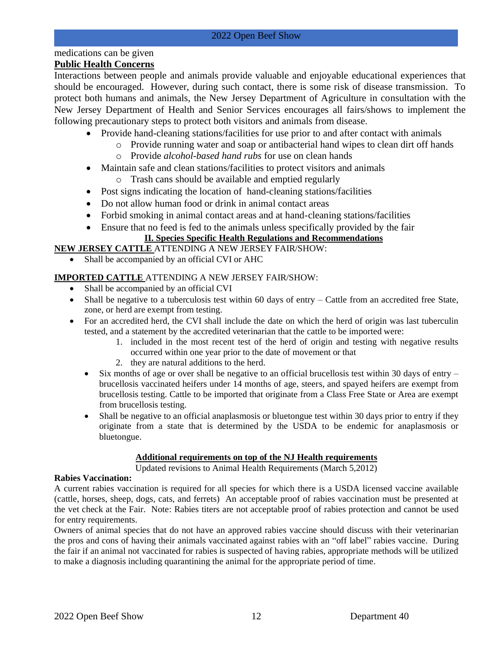# medications can be given

## **Public Health Concerns**

Interactions between people and animals provide valuable and enjoyable educational experiences that should be encouraged. However, during such contact, there is some risk of disease transmission. To protect both humans and animals, the New Jersey Department of Agriculture in consultation with the New Jersey Department of Health and Senior Services encourages all fairs/shows to implement the following precautionary steps to protect both visitors and animals from disease.

- Provide hand-cleaning stations/facilities for use prior to and after contact with animals
	- o Provide running water and soap or antibacterial hand wipes to clean dirt off hands
	- o Provide *alcohol-based hand rubs* for use on clean hands
- Maintain safe and clean stations/facilities to protect visitors and animals
	- o Trash cans should be available and emptied regularly
- Post signs indicating the location of hand-cleaning stations/facilities
- Do not allow human food or drink in animal contact areas
- Forbid smoking in animal contact areas and at hand-cleaning stations/facilities
- Ensure that no feed is fed to the animals unless specifically provided by the fair

#### **II. Species Specific Health Regulations and Recommendations**

#### **NEW JERSEY CATTLE** ATTENDING A NEW JERSEY FAIR/SHOW:

Shall be accompanied by an official CVI or AHC

#### **IMPORTED CATTLE** ATTENDING A NEW JERSEY FAIR/SHOW:

- Shall be accompanied by an official CVI
- Shall be negative to a tuberculosis test within 60 days of entry  $-$  Cattle from an accredited free State, zone, or herd are exempt from testing.
- For an accredited herd, the CVI shall include the date on which the herd of origin was last tuberculin tested, and a statement by the accredited veterinarian that the cattle to be imported were:
	- 1. included in the most recent test of the herd of origin and testing with negative results occurred within one year prior to the date of movement or that
	- 2. they are natural additions to the herd.
	- Six months of age or over shall be negative to an official brucellosis test within 30 days of entry  $$ brucellosis vaccinated heifers under 14 months of age, steers, and spayed heifers are exempt from brucellosis testing. Cattle to be imported that originate from a Class Free State or Area are exempt from brucellosis testing.
	- Shall be negative to an official anaplasmosis or bluetongue test within 30 days prior to entry if they originate from a state that is determined by the USDA to be endemic for anaplasmosis or bluetongue.

#### **Additional requirements on top of the NJ Health requirements**

Updated revisions to Animal Health Requirements (March 5,2012)

#### **Rabies Vaccination:**

A current rabies vaccination is required for all species for which there is a USDA licensed vaccine available (cattle, horses, sheep, dogs, cats, and ferrets) An acceptable proof of rabies vaccination must be presented at the vet check at the Fair. Note: Rabies titers are not acceptable proof of rabies protection and cannot be used for entry requirements.

Owners of animal species that do not have an approved rabies vaccine should discuss with their veterinarian the pros and cons of having their animals vaccinated against rabies with an "off label" rabies vaccine. During the fair if an animal not vaccinated for rabies is suspected of having rabies, appropriate methods will be utilized to make a diagnosis including quarantining the animal for the appropriate period of time.